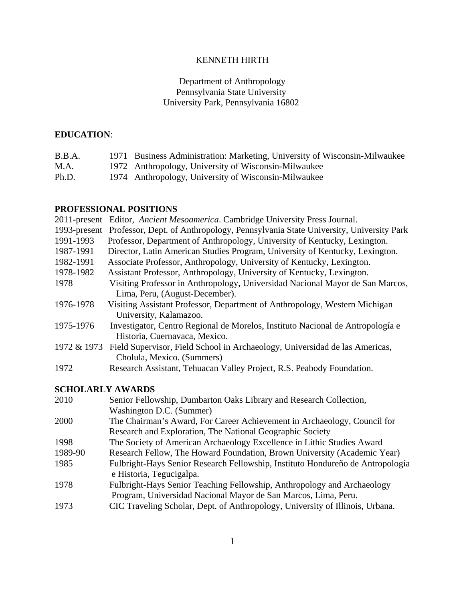# KENNETH HIRTH

## Department of Anthropology Pennsylvania State University University Park, Pennsylvania 16802

## **EDUCATION**:

| B.B.A. | 1971 Business Administration: Marketing, University of Wisconsin-Milwaukee |
|--------|----------------------------------------------------------------------------|
| M.A.   | 1972 Anthropology, University of Wisconsin-Milwaukee                       |
| Ph.D.  | 1974 Anthropology, University of Wisconsin-Milwaukee                       |

## **PROFESSIONAL POSITIONS**

|              | 2011-present Editor, Ancient Mesoamerica. Cambridge University Press Journal.                                                             |  |  |  |
|--------------|-------------------------------------------------------------------------------------------------------------------------------------------|--|--|--|
| 1993-present | Professor, Dept. of Anthropology, Pennsylvania State University, University Park                                                          |  |  |  |
| 1991-1993    | Professor, Department of Anthropology, University of Kentucky, Lexington.                                                                 |  |  |  |
| 1987-1991    | Director, Latin American Studies Program, University of Kentucky, Lexington.                                                              |  |  |  |
| 1982-1991    | Associate Professor, Anthropology, University of Kentucky, Lexington.                                                                     |  |  |  |
| 1978-1982    | Assistant Professor, Anthropology, University of Kentucky, Lexington.                                                                     |  |  |  |
| 1978         | Visiting Professor in Anthropology, Universidad Nacional Mayor de San Marcos,<br>Lima, Peru, (August-December).                           |  |  |  |
| 1976-1978    | Visiting Assistant Professor, Department of Anthropology, Western Michigan<br>University, Kalamazoo.                                      |  |  |  |
| 1975-1976    | Investigator, Centro Regional de Morelos, Instituto Nacional de Antropología e<br>Historia, Cuernavaca, Mexico.                           |  |  |  |
| 1972 & 1973  | Field Supervisor, Field School in Archaeology, Universidad de las Americas,<br>Cholula, Mexico. (Summers)                                 |  |  |  |
| 1972         | Research Assistant, Tehuacan Valley Project, R.S. Peabody Foundation.                                                                     |  |  |  |
|              | <b>SCHOLARLY AWARDS</b>                                                                                                                   |  |  |  |
| 2010         | Senior Fellowship, Dumbarton Oaks Library and Research Collection,<br>Washington D.C. (Summer)                                            |  |  |  |
| 2000         | The Chairman's Award, For Career Achievement in Archaeology, Council for<br>Research and Exploration, The National Geographic Society     |  |  |  |
| 1998         | The Society of American Archaeology Excellence in Lithic Studies Award                                                                    |  |  |  |
| 1989-90      | Research Fellow, The Howard Foundation, Brown University (Academic Year)                                                                  |  |  |  |
| 1985         | Fulbright-Hays Senior Research Fellowship, Instituto Hondureño de Antropología<br>e Historia, Tegucigalpa.                                |  |  |  |
| 1978         | Fulbright-Hays Senior Teaching Fellowship, Anthropology and Archaeology<br>Program, Universidad Nacional Mayor de San Marcos, Lima, Peru. |  |  |  |
| 1973         | CIC Traveling Scholar, Dept. of Anthropology, University of Illinois, Urbana.                                                             |  |  |  |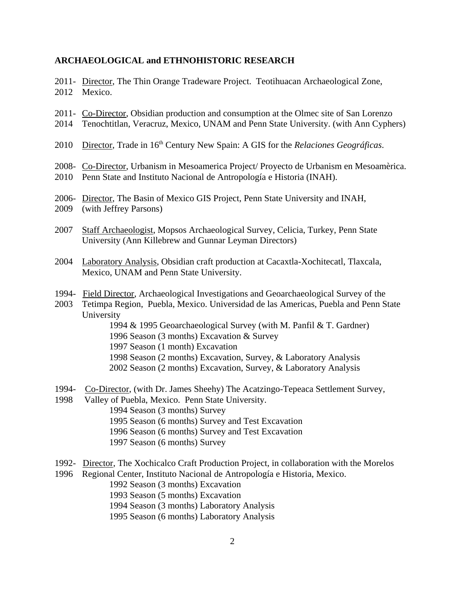### **ARCHAEOLOGICAL and ETHNOHISTORIC RESEARCH**

- 2011- Director, The Thin Orange Tradeware Project. Teotihuacan Archaeological Zone, 2012 Mexico.
- 2011- Co-Director, Obsidian production and consumption at the Olmec site of San Lorenzo
- 2014 Tenochtitlan, Veracruz, Mexico, UNAM and Penn State University. (with Ann Cyphers)
- 2010 Director, Trade in 16<sup>th</sup> Century New Spain: A GIS for the *Relaciones Geográficas*.
- 2008- Co-Director, Urbanism in Mesoamerica Project/ Proyecto de Urbanism en Mesoamèrica.
- 2010 Penn State and Instituto Nacional de Antropología e Historia (INAH).
- 2006- Director, The Basin of Mexico GIS Project, Penn State University and INAH,
- 2009 (with Jeffrey Parsons)
- 2007 Staff Archaeologist, Mopsos Archaeological Survey, Celicia, Turkey, Penn State University (Ann Killebrew and Gunnar Leyman Directors)
- 2004 Laboratory Analysis, Obsidian craft production at Cacaxtla-Xochitecatl, Tlaxcala, Mexico, UNAM and Penn State University.
- 1994- Field Director, Archaeological Investigations and Geoarchaeological Survey of the
- 2003 Tetimpa Region, Puebla, Mexico. Universidad de las Americas, Puebla and Penn State University

1994 & 1995 Geoarchaeological Survey (with M. Panfil & T. Gardner) 1996 Season (3 months) Excavation & Survey 1997 Season (1 month) Excavation 1998 Season (2 months) Excavation, Survey, & Laboratory Analysis 2002 Season (2 months) Excavation, Survey, & Laboratory Analysis

- 1994- Co-Director, (with Dr. James Sheehy) The Acatzingo-Tepeaca Settlement Survey,
- 1998 Valley of Puebla, Mexico. Penn State University. 1994 Season (3 months) Survey 1995 Season (6 months) Survey and Test Excavation 1996 Season (6 months) Survey and Test Excavation 1997 Season (6 months) Survey
- 1992- Director, The Xochicalco Craft Production Project, in collaboration with the Morelos

1996 Regional Center, Instituto Nacional de Antropología e Historia, Mexico. 1992 Season (3 months) Excavation 1993 Season (5 months) Excavation 1994 Season (3 months) Laboratory Analysis

1995 Season (6 months) Laboratory Analysis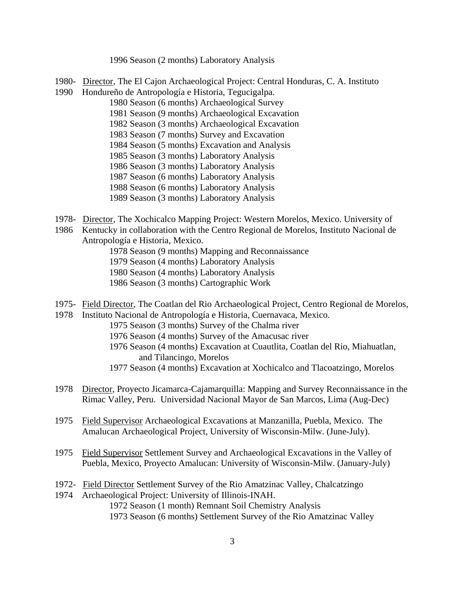1996 Season (2 months) Laboratory Analysis

- 1980- Director, The El Cajon Archaeological Project: Central Honduras, C. A. Instituto
- 1990 Hondureño de Antropología e Historia, Tegucigalpa.
	- 1980 Season (6 months) Archaeological Survey
		- 1981 Season (9 months) Archaeological Excavation
		- 1982 Season (3 months) Archaeological Excavation
		- 1983 Season (7 months) Survey and Excavation
		- 1984 Season (5 months) Excavation and Analysis
		- 1985 Season (3 months) Laboratory Analysis
		- 1986 Season (3 months) Laboratory Analysis
		- 1987 Season (6 months) Laboratory Analysis
		- 1988 Season (6 months) Laboratory Analysis
		- 1989 Season (3 months) Laboratory Analysis
- 1978- Director, The Xochicalco Mapping Project: Western Morelos, Mexico. University of
- 1986 Kentucky in collaboration with the Centro Regional de Morelos, Instituto Nacional de Antropología e Historia, Mexico.
	- 1978 Season (9 months) Mapping and Reconnaissance
	- 1979 Season (4 months) Laboratory Analysis
	- 1980 Season (4 months) Laboratory Analysis
	- 1986 Season (3 months) Cartographic Work
- 1975- Field Director, The Coatlan del Rio Archaeological Project, Centro Regional de Morelos,
- 1978 Instituto Nacional de Antropología e Historia, Cuernavaca, Mexico.
	- 1975 Season (3 months) Survey of the Chalma river
	- 1976 Season (4 months) Survey of the Amacusac river
	- 1976 Season (4 months) Excavation at Cuautlita, Coatlan del Rio, Miahuatlan, and Tilancingo, Morelos
	- 1977 Season (4 months) Excavation at Xochicalco and Tlacoatzingo, Morelos
- 1978 Director, Proyecto Jicamarca-Cajamarquilla: Mapping and Survey Reconnaissance in the Rimac Valley, Peru. Universidad Nacional Mayor de San Marcos, Lima (Aug-Dec)
- 1975 Field Supervisor Archaeological Excavations at Manzanilla, Puebla, Mexico. The Amalucan Archaeological Project, University of Wisconsin-Milw. (June-July).
- 1975 Field Supervisor Settlement Survey and Archaeological Excavations in the Valley of Puebla, Mexico, Proyecto Amalucan: University of Wisconsin-Milw. (January-July)
- 1972- Field Director Settlement Survey of the Rio Amatzinac Valley, Chalcatzingo
- 1974 Archaeological Project: University of Illinois-INAH.

1972 Season (1 month) Remnant Soil Chemistry Analysis

1973 Season (6 months) Settlement Survey of the Rio Amatzinac Valley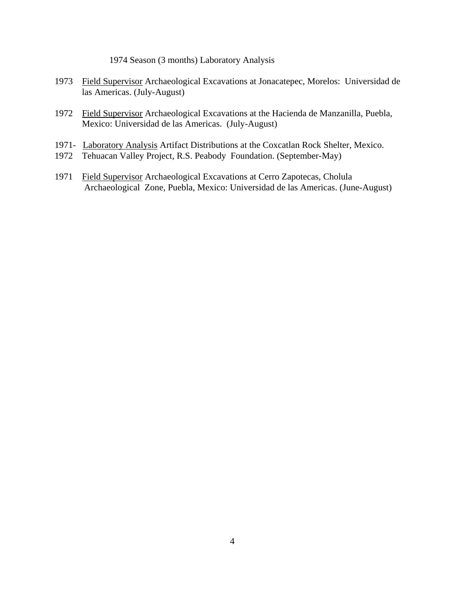1974 Season (3 months) Laboratory Analysis

- 1973 Field Supervisor Archaeological Excavations at Jonacatepec, Morelos: Universidad de las Americas. (July-August)
- 1972 Field Supervisor Archaeological Excavations at the Hacienda de Manzanilla, Puebla, Mexico: Universidad de las Americas. (July-August)
- 1971- Laboratory Analysis Artifact Distributions at the Coxcatlan Rock Shelter, Mexico.
- 1972 Tehuacan Valley Project, R.S. Peabody Foundation. (September-May)
- 1971 Field Supervisor Archaeological Excavations at Cerro Zapotecas, Cholula Archaeological Zone, Puebla, Mexico: Universidad de las Americas. (June-August)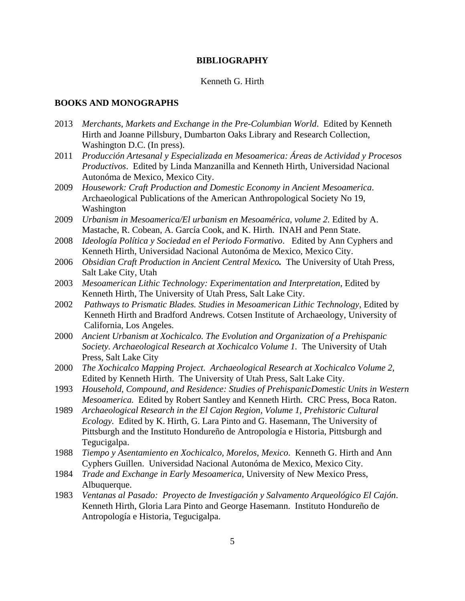#### **BIBLIOGRAPHY**

#### Kenneth G. Hirth

#### **BOOKS AND MONOGRAPHS**

- 2013 *Merchants, Markets and Exchange in the Pre-Columbian World*. Edited by Kenneth Hirth and Joanne Pillsbury, Dumbarton Oaks Library and Research Collection, Washington D.C. (In press).
- 2011 *Producción Artesanal y Especializada en Mesoamerica: Áreas de Actividad y Procesos Productivos*. Edited by Linda Manzanilla and Kenneth Hirth, Universidad Nacional Autonóma de Mexico, Mexico City.
- 2009 *Housework: Craft Production and Domestic Economy in Ancient Mesoamerica*. Archaeological Publications of the American Anthropological Society No 19, Washington
- 2009 *Urbanism in Mesoamerica/El urbanism en Mesoamérica, volume 2.* Edited by A. Mastache, R. Cobean, A. García Cook, and K. Hirth. INAH and Penn State.
- 2008 *Ideología Política y Sociedad en el Periodo Formativo*. Edited by Ann Cyphers and Kenneth Hirth, Universidad Nacional Autonóma de Mexico, Mexico City.
- 2006 *Obsidian Craft Production in Ancient Central Mexico.* The University of Utah Press, Salt Lake City, Utah
- 2003 *Mesoamerican Lithic Technology: Experimentation and Interpretation*, Edited by Kenneth Hirth, The University of Utah Press, Salt Lake City.
- 2002 *Pathways to Prismatic Blades. Studies in Mesoamerican Lithic Technology*, Edited by Kenneth Hirth and Bradford Andrews. Cotsen Institute of Archaeology, University of California, Los Angeles.
- 2000 *Ancient Urbanism at Xochicalco. The Evolution and Organization of a Prehispanic Society. Archaeological Research at Xochicalco Volume 1.* The University of Utah Press, Salt Lake City
- 2000 *The Xochicalco Mapping Project. Archaeological Research at Xochicalco Volume 2,*  Edited by Kenneth Hirth. The University of Utah Press, Salt Lake City.
- 1993 *Household, Compound, and Residence: Studies of PrehispanicDomestic Units in Western Mesoamerica.* Edited by Robert Santley and Kenneth Hirth. CRC Press, Boca Raton.
- 1989 *Archaeological Research in the El Cajon Region, Volume 1, Prehistoric Cultural Ecology.* Edited by K. Hirth, G. Lara Pinto and G. Hasemann, The University of Pittsburgh and the Instituto Hondureño de Antropología e Historia, Pittsburgh and Tegucigalpa.
- 1988 *Tiempo y Asentamiento en Xochicalco, Morelos, Mexico*. Kenneth G. Hirth and Ann Cyphers Guillen. Universidad Nacional Autonóma de Mexico, Mexico City.
- 1984 *Trade and Exchange in Early Mesoamerica*, University of New Mexico Press, Albuquerque.
- 1983 *Ventanas al Pasado: Proyecto de Investigación y Salvamento Arqueológico El Cajón*. Kenneth Hirth, Gloria Lara Pinto and George Hasemann. Instituto Hondureño de Antropología e Historia, Tegucigalpa.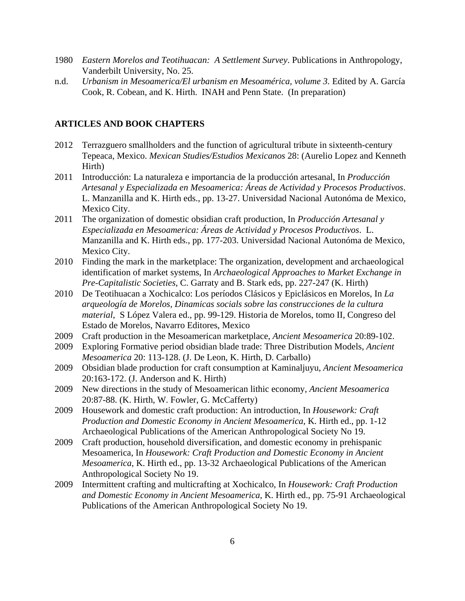- 1980 *Eastern Morelos and Teotihuacan: A Settlement Survey*. Publications in Anthropology, Vanderbilt University, No. 25.
- n.d. *Urbanism in Mesoamerica/El urbanism en Mesoamérica, volume 3.* Edited by A. García Cook, R. Cobean, and K. Hirth. INAH and Penn State. (In preparation)

#### **ARTICLES AND BOOK CHAPTERS**

- 2012 Terrazguero smallholders and the function of agricultural tribute in sixteenth-century Tepeaca, Mexico. *Mexican Studies/Estudios Mexicanos* 28: (Aurelio Lopez and Kenneth Hirth)
- 2011 Introducción: La naturaleza e importancia de la producción artesanal, In *Producción Artesanal y Especializada en Mesoamerica: Áreas de Actividad y Procesos Productivos*. L. Manzanilla and K. Hirth eds., pp. 13-27. Universidad Nacional Autonóma de Mexico, Mexico City.
- 2011 The organization of domestic obsidian craft production, In *Producción Artesanal y Especializada en Mesoamerica: Áreas de Actividad y Procesos Productivos*. L. Manzanilla and K. Hirth eds., pp. 177-203. Universidad Nacional Autonóma de Mexico, Mexico City.
- 2010 Finding the mark in the marketplace: The organization, development and archaeological identification of market systems, In *Archaeological Approaches to Market Exchange in Pre-Capitalistic Societies*, C. Garraty and B. Stark eds, pp. 227-247 (K. Hirth)
- 2010 De Teotihuacan a Xochicalco: Los períodos Clásicos y Epiclásicos en Morelos, In *La arqueología de Morelos*, *Dinamicas socials sobre las construcciones de la cultura material*, S López Valera ed., pp. 99-129. Historia de Morelos, tomo II*,* Congreso del Estado de Morelos, Navarro Editores, Mexico
- 2009 Craft production in the Mesoamerican marketplace, *Ancient Mesoamerica* 20:89-102.
- 2009 Exploring Formative period obsidian blade trade: Three Distribution Models, *Ancient Mesoamerica* 20: 113-128. (J. De Leon, K. Hirth, D. Carballo)
- 2009 Obsidian blade production for craft consumption at Kaminaljuyu, *Ancient Mesoamerica* 20:163-172. (J. Anderson and K. Hirth)
- 2009 New directions in the study of Mesoamerican lithic economy, *Ancient Mesoamerica* 20:87-88. (K. Hirth, W. Fowler, G. McCafferty)
- 2009 Housework and domestic craft production: An introduction, In *Housework: Craft Production and Domestic Economy in Ancient Mesoamerica*, K. Hirth ed., pp. 1-12 Archaeological Publications of the American Anthropological Society No 19.
- 2009 Craft production, household diversification, and domestic economy in prehispanic Mesoamerica, In *Housework: Craft Production and Domestic Economy in Ancient Mesoamerica*, K. Hirth ed., pp. 13-32 Archaeological Publications of the American Anthropological Society No 19.
- 2009 Intermittent crafting and multicrafting at Xochicalco, In *Housework: Craft Production and Domestic Economy in Ancient Mesoamerica*, K. Hirth ed., pp. 75-91 Archaeological Publications of the American Anthropological Society No 19.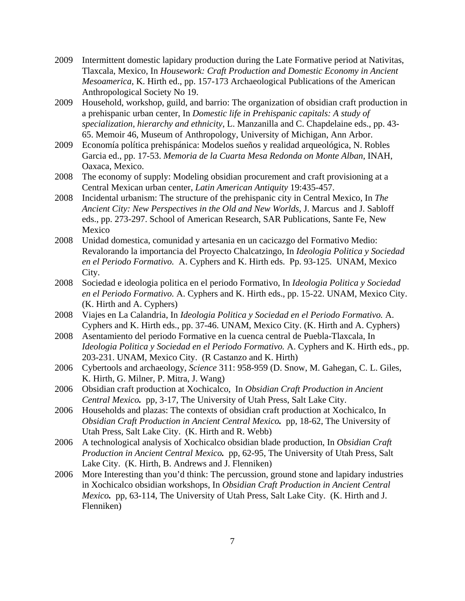- 2009 Intermittent domestic lapidary production during the Late Formative period at Nativitas, Tlaxcala, Mexico, In *Housework: Craft Production and Domestic Economy in Ancient Mesoamerica*, K. Hirth ed., pp. 157-173 Archaeological Publications of the American Anthropological Society No 19.
- 2009 Household, workshop, guild, and barrio: The organization of obsidian craft production in a prehispanic urban center, In *Domestic life in Prehispanic capitals: A study of specialization, hierarchy and ethnicity*, L. Manzanilla and C. Chapdelaine eds., pp. 43- 65. Memoir 46, Museum of Anthropology, University of Michigan, Ann Arbor.
- 2009 Economía política prehispánica: Modelos sueños y realidad arqueológica, N. Robles Garcia ed., pp. 17-53. *Memoria de la Cuarta Mesa Redonda on Monte Alban*, INAH, Oaxaca, Mexico.
- 2008 The economy of supply: Modeling obsidian procurement and craft provisioning at a Central Mexican urban center, *Latin American Antiquity* 19:435-457.
- 2008 Incidental urbanism: The structure of the prehispanic city in Central Mexico, In *The Ancient City: New Perspectives in the Old and New Worlds*, J. Marcus and J. Sabloff eds., pp. 273-297. School of American Research, SAR Publications, Sante Fe, New Mexico
- 2008 Unidad domestica, comunidad y artesania en un cacicazgo del Formativo Medio: Revalorando la importancia del Proyecto Chalcatzingo, In *Ideologia Politica y Sociedad en el Periodo Formativo.* A. Cyphers and K. Hirth eds. Pp. 93-125. UNAM, Mexico City.
- 2008 Sociedad e ideologia politica en el periodo Formativo, In *Ideologia Politica y Sociedad en el Periodo Formativo.* A. Cyphers and K. Hirth eds., pp. 15-22. UNAM, Mexico City. (K. Hirth and A. Cyphers)
- 2008 Viajes en La Calandria, In *Ideologia Politica y Sociedad en el Periodo Formativo.* A. Cyphers and K. Hirth eds., pp. 37-46. UNAM, Mexico City. (K. Hirth and A. Cyphers)
- 2008 Asentamiento del periodo Formative en la cuenca central de Puebla-Tlaxcala, In *Ideologia Politica y Sociedad en el Periodo Formativo.* A. Cyphers and K. Hirth eds., pp. 203-231. UNAM, Mexico City. (R Castanzo and K. Hirth)
- 2006 Cybertools and archaeology, *Science* 311: 958-959 (D. Snow, M. Gahegan, C. L. Giles, K. Hirth, G. Milner, P. Mitra, J. Wang)
- 2006 Obsidian craft production at Xochicalco, In *Obsidian Craft Production in Ancient Central Mexico.* pp, 3-17, The University of Utah Press, Salt Lake City.
- 2006 Households and plazas: The contexts of obsidian craft production at Xochicalco, In *Obsidian Craft Production in Ancient Central Mexico.* pp, 18-62, The University of Utah Press, Salt Lake City. (K. Hirth and R. Webb)
- 2006 A technological analysis of Xochicalco obsidian blade production, In *Obsidian Craft Production in Ancient Central Mexico.* pp, 62-95, The University of Utah Press, Salt Lake City. (K. Hirth, B. Andrews and J. Flenniken)
- 2006 More Interesting than you'd think: The percussion, ground stone and lapidary industries in Xochicalco obsidian workshops, In *Obsidian Craft Production in Ancient Central Mexico.* pp, 63-114, The University of Utah Press, Salt Lake City. (K. Hirth and J. Flenniken)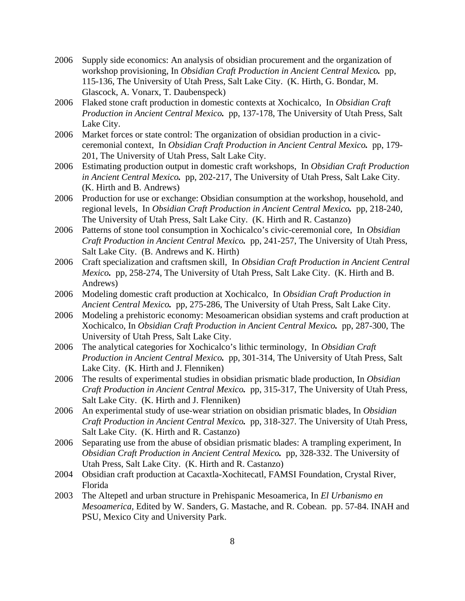- 2006 Supply side economics: An analysis of obsidian procurement and the organization of workshop provisioning, In *Obsidian Craft Production in Ancient Central Mexico.* pp, 115-136, The University of Utah Press, Salt Lake City. (K. Hirth, G. Bondar, M. Glascock, A. Vonarx, T. Daubenspeck)
- 2006 Flaked stone craft production in domestic contexts at Xochicalco, In *Obsidian Craft Production in Ancient Central Mexico.* pp, 137-178, The University of Utah Press, Salt Lake City.
- 2006 Market forces or state control: The organization of obsidian production in a civicceremonial context, In *Obsidian Craft Production in Ancient Central Mexico.* pp, 179- 201, The University of Utah Press, Salt Lake City.
- 2006 Estimating production output in domestic craft workshops, In *Obsidian Craft Production in Ancient Central Mexico.* pp, 202-217, The University of Utah Press, Salt Lake City. (K. Hirth and B. Andrews)
- 2006 Production for use or exchange: Obsidian consumption at the workshop, household, and regional levels, In *Obsidian Craft Production in Ancient Central Mexico.* pp, 218-240, The University of Utah Press, Salt Lake City. (K. Hirth and R. Castanzo)
- 2006 Patterns of stone tool consumption in Xochicalco's civic-ceremonial core, In *Obsidian Craft Production in Ancient Central Mexico.* pp, 241-257, The University of Utah Press, Salt Lake City. (B. Andrews and K. Hirth)
- 2006 Craft specialization and craftsmen skill, In *Obsidian Craft Production in Ancient Central Mexico.* pp, 258-274, The University of Utah Press, Salt Lake City. (K. Hirth and B. Andrews)
- 2006 Modeling domestic craft production at Xochicalco, In *Obsidian Craft Production in Ancient Central Mexico.* pp, 275-286, The University of Utah Press, Salt Lake City.
- 2006 Modeling a prehistoric economy: Mesoamerican obsidian systems and craft production at Xochicalco, In *Obsidian Craft Production in Ancient Central Mexico.* pp, 287-300, The University of Utah Press, Salt Lake City.
- 2006 The analytical categories for Xochicalco's lithic terminology, In *Obsidian Craft Production in Ancient Central Mexico.* pp, 301-314, The University of Utah Press, Salt Lake City. (K. Hirth and J. Flenniken)
- 2006 The results of experimental studies in obsidian prismatic blade production, In *Obsidian Craft Production in Ancient Central Mexico.* pp, 315-317, The University of Utah Press, Salt Lake City. (K. Hirth and J. Flenniken)
- 2006 An experimental study of use-wear striation on obsidian prismatic blades, In *Obsidian Craft Production in Ancient Central Mexico.* pp, 318-327. The University of Utah Press, Salt Lake City. (K. Hirth and R. Castanzo)
- 2006 Separating use from the abuse of obsidian prismatic blades: A trampling experiment, In *Obsidian Craft Production in Ancient Central Mexico.* pp, 328-332. The University of Utah Press, Salt Lake City. (K. Hirth and R. Castanzo)
- 2004 Obsidian craft production at Cacaxtla-Xochitecatl, FAMSI Foundation, Crystal River, Florida
- 2003 The Altepetl and urban structure in Prehispanic Mesoamerica, In *El Urbanismo en Mesoamerica,* Edited by W. Sanders, G. Mastache, and R. Cobean. pp. 57-84. INAH and PSU, Mexico City and University Park.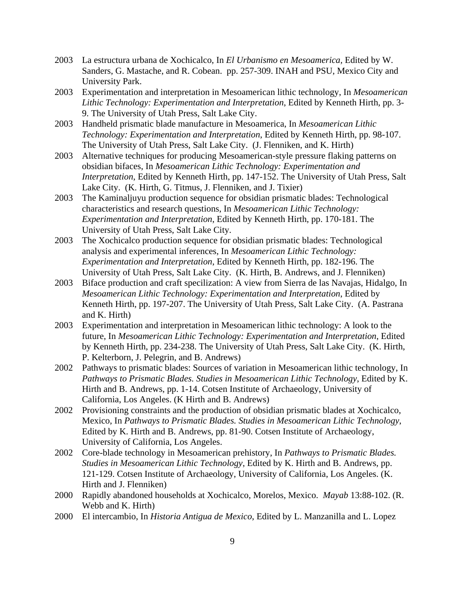- 2003 La estructura urbana de Xochicalco, In *El Urbanismo en Mesoamerica,* Edited by W. Sanders, G. Mastache, and R. Cobean. pp. 257-309. INAH and PSU, Mexico City and University Park.
- 2003 Experimentation and interpretation in Mesoamerican lithic technology, In *Mesoamerican Lithic Technology: Experimentation and Interpretation*, Edited by Kenneth Hirth, pp. 3- 9. The University of Utah Press, Salt Lake City.
- 2003 Handheld prismatic blade manufacture in Mesoamerica, In *Mesoamerican Lithic Technology: Experimentation and Interpretation*, Edited by Kenneth Hirth, pp. 98-107. The University of Utah Press, Salt Lake City. (J. Flenniken, and K. Hirth)
- 2003 Alternative techniques for producing Mesoamerican-style pressure flaking patterns on obsidian bifaces, In *Mesoamerican Lithic Technology: Experimentation and Interpretation*, Edited by Kenneth Hirth, pp. 147-152. The University of Utah Press, Salt Lake City. (K. Hirth, G. Titmus, J. Flenniken, and J. Tixier)
- 2003 The Kaminaljuyu production sequence for obsidian prismatic blades: Technological characteristics and research questions, In *Mesoamerican Lithic Technology: Experimentation and Interpretation*, Edited by Kenneth Hirth, pp. 170-181. The University of Utah Press, Salt Lake City.
- 2003 The Xochicalco production sequence for obsidian prismatic blades: Technological analysis and experimental inferences, In *Mesoamerican Lithic Technology: Experimentation and Interpretation*, Edited by Kenneth Hirth, pp. 182-196. The University of Utah Press, Salt Lake City. (K. Hirth, B. Andrews, and J. Flenniken)
- 2003 Biface production and craft specilization: A view from Sierra de las Navajas, Hidalgo, In *Mesoamerican Lithic Technology: Experimentation and Interpretation*, Edited by Kenneth Hirth, pp. 197-207. The University of Utah Press, Salt Lake City. (A. Pastrana and K. Hirth)
- 2003 Experimentation and interpretation in Mesoamerican lithic technology: A look to the future, In *Mesoamerican Lithic Technology: Experimentation and Interpretation*, Edited by Kenneth Hirth, pp. 234-238. The University of Utah Press, Salt Lake City. (K. Hirth, P. Kelterborn, J. Pelegrin, and B. Andrews)
- 2002 Pathways to prismatic blades: Sources of variation in Mesoamerican lithic technology, In *Pathways to Prismatic Blades. Studies in Mesoamerican Lithic Technology*, Edited by K. Hirth and B. Andrews, pp. 1-14. Cotsen Institute of Archaeology, University of California, Los Angeles. (K Hirth and B. Andrews)
- 2002 Provisioning constraints and the production of obsidian prismatic blades at Xochicalco, Mexico, In *Pathways to Prismatic Blades. Studies in Mesoamerican Lithic Technology*, Edited by K. Hirth and B. Andrews, pp. 81-90. Cotsen Institute of Archaeology, University of California, Los Angeles.
- 2002 Core-blade technology in Mesoamerican prehistory, In *Pathways to Prismatic Blades. Studies in Mesoamerican Lithic Technology*, Edited by K. Hirth and B. Andrews, pp. 121-129. Cotsen Institute of Archaeology, University of California, Los Angeles. (K. Hirth and J. Flenniken)
- 2000 Rapidly abandoned households at Xochicalco, Morelos, Mexico. *Mayab* 13:88-102. (R. Webb and K. Hirth)
- 2000 El intercambio, In *Historia Antigua de Mexico*, Edited by L. Manzanilla and L. Lopez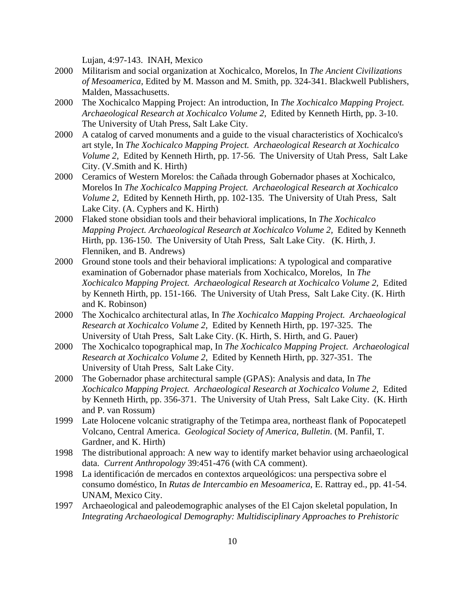Lujan, 4:97-143. INAH, Mexico

- 2000 Militarism and social organization at Xochicalco, Morelos, In *The Ancient Civilizations of Mesoamerica,* Edited by M. Masson and M. Smith, pp. 324-341. Blackwell Publishers, Malden, Massachusetts.
- 2000 The Xochicalco Mapping Project: An introduction, In *The Xochicalco Mapping Project. Archaeological Research at Xochicalco Volume 2,* Edited by Kenneth Hirth, pp. 3-10. The University of Utah Press, Salt Lake City.
- 2000 A catalog of carved monuments and a guide to the visual characteristics of Xochicalco's art style, In *The Xochicalco Mapping Project. Archaeological Research at Xochicalco Volume 2,* Edited by Kenneth Hirth, pp. 17-56. The University of Utah Press, Salt Lake City. (V.Smith and K. Hirth)
- 2000 Ceramics of Western Morelos: the Cañada through Gobernador phases at Xochicalco, Morelos In *The Xochicalco Mapping Project. Archaeological Research at Xochicalco Volume 2,* Edited by Kenneth Hirth, pp. 102-135. The University of Utah Press, Salt Lake City. (A. Cyphers and K. Hirth)
- 2000 Flaked stone obsidian tools and their behavioral implications, In *The Xochicalco Mapping Project. Archaeological Research at Xochicalco Volume 2,* Edited by Kenneth Hirth, pp. 136-150. The University of Utah Press, Salt Lake City. (K. Hirth, J. Flenniken, and B. Andrews)
- 2000 Ground stone tools and their behavioral implications: A typological and comparative examination of Gobernador phase materials from Xochicalco, Morelos, In *The Xochicalco Mapping Project. Archaeological Research at Xochicalco Volume 2,* Edited by Kenneth Hirth, pp. 151-166. The University of Utah Press, Salt Lake City. (K. Hirth and K. Robinson)
- 2000 The Xochicalco architectural atlas, In *The Xochicalco Mapping Project. Archaeological Research at Xochicalco Volume 2,* Edited by Kenneth Hirth, pp. 197-325. The University of Utah Press, Salt Lake City. (K. Hirth, S. Hirth, and G. Pauer)
- 2000 The Xochicalco topographical map, In *The Xochicalco Mapping Project. Archaeological Research at Xochicalco Volume 2,* Edited by Kenneth Hirth, pp. 327-351. The University of Utah Press, Salt Lake City.
- 2000 The Gobernador phase architectural sample (GPAS): Analysis and data, In *The Xochicalco Mapping Project. Archaeological Research at Xochicalco Volume 2,* Edited by Kenneth Hirth, pp. 356-371. The University of Utah Press, Salt Lake City. (K. Hirth and P. van Rossum)
- 1999 Late Holocene volcanic stratigraphy of the Tetimpa area, northeast flank of Popocatepetl Volcano, Central America. *Geological Society of America, Bulletin*. (M. Panfil, T. Gardner, and K. Hirth)
- 1998 The distributional approach: A new way to identify market behavior using archaeological data. *Current Anthropology* 39:451-476 (with CA comment).
- 1998 La identificación de mercados en contextos arqueológicos: una perspectiva sobre el consumo doméstico, In *Rutas de Intercambio en Mesoamerica*, E. Rattray ed., pp. 41-54. UNAM, Mexico City.
- 1997 Archaeological and paleodemographic analyses of the El Cajon skeletal population, In *Integrating Archaeological Demography: Multidisciplinary Approaches to Prehistoric*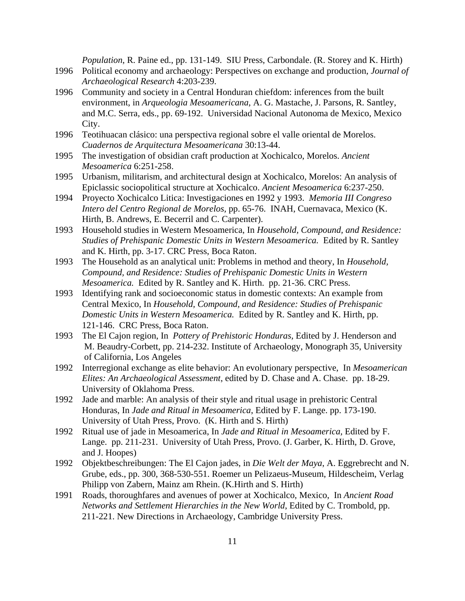*Population*, R. Paine ed., pp. 131-149. SIU Press, Carbondale. (R. Storey and K. Hirth)

- 1996 Political economy and archaeology: Perspectives on exchange and production, *Journal of Archaeological Research* 4:203-239.
- 1996 Community and society in a Central Honduran chiefdom: inferences from the built environment, in *Arqueologia Mesoamericana*, A. G. Mastache, J. Parsons, R. Santley, and M.C. Serra, eds., pp. 69-192. Universidad Nacional Autonoma de Mexico, Mexico City.
- 1996 Teotihuacan clásico: una perspectiva regional sobre el valle oriental de Morelos. *Cuadernos de Arquitectura Mesoamericana* 30:13-44.
- 1995 The investigation of obsidian craft production at Xochicalco, Morelos. *Ancient Mesoamerica* 6:251-258.
- 1995 Urbanism, militarism, and architectural design at Xochicalco, Morelos: An analysis of Epiclassic sociopolitical structure at Xochicalco. *Ancient Mesoamerica* 6:237-250.
- 1994 Proyecto Xochicalco Litica: Investigaciones en 1992 y 1993. *Memoria III Congreso Intero del Centro Regional de Morelos,* pp. 65-76. INAH, Cuernavaca, Mexico (K. Hirth, B. Andrews, E. Becerril and C. Carpenter).
- 1993 Household studies in Western Mesoamerica, In *Household, Compound, and Residence: Studies of Prehispanic Domestic Units in Western Mesoamerica.* Edited by R. Santley and K. Hirth, pp. 3-17. CRC Press, Boca Raton.
- 1993 The Household as an analytical unit: Problems in method and theory, In *Household, Compound, and Residence: Studies of Prehispanic Domestic Units in Western Mesoamerica.* Edited by R. Santley and K. Hirth. pp. 21-36. CRC Press.
- 1993 Identifying rank and socioeconomic status in domestic contexts: An example from Central Mexico, In *Household, Compound, and Residence: Studies of Prehispanic Domestic Units in Western Mesoamerica.* Edited by R. Santley and K. Hirth, pp. 121-146. CRC Press, Boca Raton.
- 1993 The El Cajon region, In *Pottery of Prehistoric Honduras,* Edited by J. Henderson and M. Beaudry-Corbett, pp. 214-232. Institute of Archaeology, Monograph 35, University of California, Los Angeles
- 1992 Interregional exchange as elite behavior: An evolutionary perspective, In *Mesoamerican Elites: An Archaeological Assessment*, edited by D. Chase and A. Chase. pp. 18-29. University of Oklahoma Press.
- 1992 Jade and marble: An analysis of their style and ritual usage in prehistoric Central Honduras, In *Jade and Ritual in Mesoamerica*, Edited by F. Lange. pp. 173-190. University of Utah Press, Provo. (K. Hirth and S. Hirth)
- 1992 Ritual use of jade in Mesoamerica, In *Jade and Ritual in Mesoamerica,* Edited by F. Lange. pp. 211-231. University of Utah Press, Provo. (J. Garber, K. Hirth, D. Grove, and J. Hoopes)
- 1992 Objektbeschreibungen: The El Cajon jades, in *Die Welt der Maya*, A. Eggrebrecht and N. Grube, eds., pp. 300, 368-530-551. Roemer un Pelizaeus-Museum, Hildescheim, Verlag Philipp von Zabern, Mainz am Rhein. (K.Hirth and S. Hirth)
- 1991 Roads, thoroughfares and avenues of power at Xochicalco, Mexico, In *Ancient Road Networks and Settlement Hierarchies in the New World*, Edited by C. Trombold, pp. 211-221. New Directions in Archaeology, Cambridge University Press.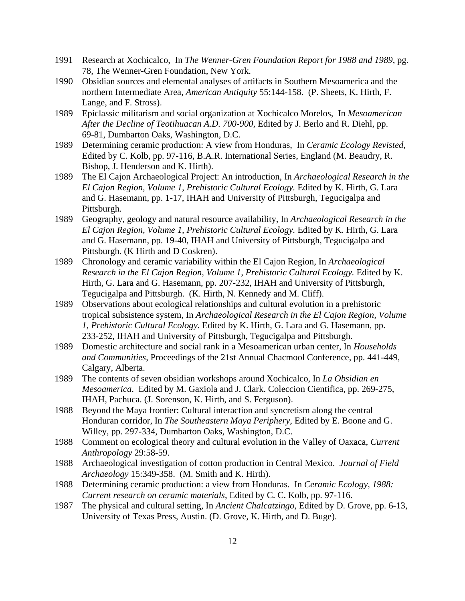- 1991 Research at Xochicalco, In *The Wenner-Gren Foundation Report for 1988 and 1989*, pg. 78, The Wenner-Gren Foundation, New York.
- 1990 Obsidian sources and elemental analyses of artifacts in Southern Mesoamerica and the northern Intermediate Area, *American Antiquity* 55:144-158. (P. Sheets, K. Hirth, F. Lange, and F. Stross).
- 1989 Epiclassic militarism and social organization at Xochicalco Morelos, In *Mesoamerican After the Decline of Teotihuacan A.D. 700-900*, Edited by J. Berlo and R. Diehl, pp. 69-81, Dumbarton Oaks, Washington, D.C.
- 1989 Determining ceramic production: A view from Honduras, In *Ceramic Ecology Revisted*, Edited by C. Kolb, pp. 97-116, B.A.R. International Series, England (M. Beaudry, R. Bishop, J. Henderson and K. Hirth).
- 1989 The El Cajon Archaeological Project: An introduction, In *Archaeological Research in the El Cajon Region, Volume 1, Prehistoric Cultural Ecology.* Edited by K. Hirth, G. Lara and G. Hasemann, pp. 1-17, IHAH and University of Pittsburgh, Tegucigalpa and Pittsburgh.
- 1989 Geography, geology and natural resource availability, In *Archaeological Research in the El Cajon Region, Volume 1, Prehistoric Cultural Ecology.* Edited by K. Hirth, G. Lara and G. Hasemann, pp. 19-40, IHAH and University of Pittsburgh, Tegucigalpa and Pittsburgh. (K Hirth and D Coskren).
- 1989 Chronology and ceramic variability within the El Cajon Region, In *Archaeological Research in the El Cajon Region, Volume 1, Prehistoric Cultural Ecology.* Edited by K. Hirth, G. Lara and G. Hasemann, pp. 207-232, IHAH and University of Pittsburgh, Tegucigalpa and Pittsburgh. (K. Hirth, N. Kennedy and M. Cliff).
- 1989 Observations about ecological relationships and cultural evolution in a prehistoric tropical subsistence system, In *Archaeological Research in the El Cajon Region, Volume 1, Prehistoric Cultural Ecology.* Edited by K. Hirth, G. Lara and G. Hasemann, pp. 233-252, IHAH and University of Pittsburgh, Tegucigalpa and Pittsburgh.
- 1989 Domestic architecture and social rank in a Mesoamerican urban center, In *Households and Communities*, Proceedings of the 21st Annual Chacmool Conference, pp. 441-449, Calgary, Alberta.
- 1989 The contents of seven obsidian workshops around Xochicalco, In *La Obsidian en Mesoamerica*. Edited by M. Gaxiola and J. Clark. Coleccion Cientifica, pp. 269-275, IHAH, Pachuca. (J. Sorenson, K. Hirth, and S. Ferguson).
- 1988 Beyond the Maya frontier: Cultural interaction and syncretism along the central Honduran corridor, In *The Southeastern Maya Periphery*, Edited by E. Boone and G. Willey, pp. 297-334, Dumbarton Oaks, Washington, D.C.
- 1988 Comment on ecological theory and cultural evolution in the Valley of Oaxaca, *Current Anthropology* 29:58-59.
- 1988 Archaeological investigation of cotton production in Central Mexico. *Journal of Field Archaeology* 15:349-358. (M. Smith and K. Hirth).
- 1988 Determining ceramic production: a view from Honduras. In *Ceramic Ecology, 1988: Current research on ceramic materials*, Edited by C. C. Kolb, pp. 97-116.
- 1987 The physical and cultural setting, In *Ancient Chalcatzingo,* Edited by D. Grove, pp. 6-13, University of Texas Press, Austin. (D. Grove, K. Hirth, and D. Buge).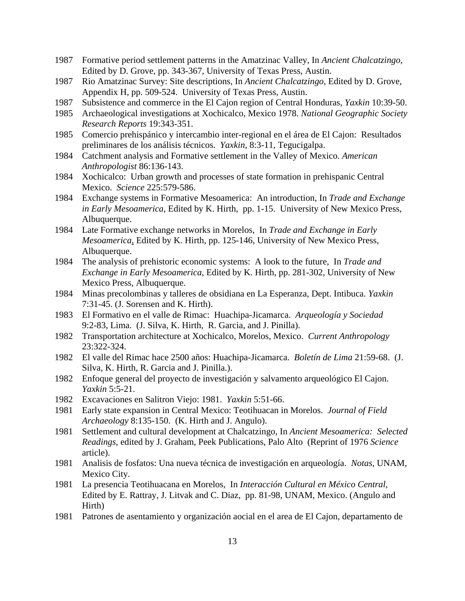- 1987 Formative period settlement patterns in the Amatzinac Valley, In *Ancient Chalcatzingo*, Edited by D. Grove, pp. 343-367, University of Texas Press, Austin.
- 1987 Rio Amatzinac Survey: Site descriptions, In *Ancient Chalcatzingo*, Edited by D. Grove, Appendix H, pp. 509-524. University of Texas Press, Austin.
- 1987 Subsistence and commerce in the El Cajon region of Central Honduras, *Yaxkin* 10:39-50.
- 1985 Archaeological investigations at Xochicalco, Mexico 1978. *National Geographic Society Research Reports* 19:343-351.
- 1985 Comercio prehispánico y intercambio inter-regional en el área de El Cajon: Resultados preliminares de los análisis técnicos. *Yaxkin*, 8:3-11, Tegucigalpa.
- 1984 Catchment analysis and Formative settlement in the Valley of Mexico. *American Anthropologist* 86:136-143.
- 1984 Xochicalco: Urban growth and processes of state formation in prehispanic Central Mexico. *Science* 225:579-586.
- 1984 Exchange systems in Formative Mesoamerica: An introduction, In *Trade and Exchange in Early Mesoamerica*, Edited by K. Hirth, pp. 1-15. University of New Mexico Press, Albuquerque.
- 1984 Late Formative exchange networks in Morelos, In *Trade and Exchange in Early Mesoamerica*, Edited by K. Hirth, pp. 125-146, University of New Mexico Press, Albuquerque.
- 1984 The analysis of prehistoric economic systems: A look to the future, In *Trade and Exchange in Early Mesoamerica*, Edited by K. Hirth, pp. 281-302, University of New Mexico Press, Albuquerque.
- 1984 Minas precolombinas y talleres de obsidiana en La Esperanza, Dept. Intibuca. *Yaxkin* 7:31-45. (J. Sorensen and K. Hirth).
- 1983 El Formativo en el valle de Rimac: Huachipa-Jicamarca. *Arqueología y Sociedad* 9:2-83, Lima. (J. Silva, K. Hirth, R. Garcia, and J. Pinilla).
- 1982 Transportation architecture at Xochicalco, Morelos, Mexico. *Current Anthropology* 23:322-324.
- 1982 El valle del Rimac hace 2500 años: Huachipa-Jicamarca. *Boletín de Lima* 21:59-68. (J. Silva, K. Hirth, R. Garcia and J. Pinilla.).
- 1982 Enfoque general del proyecto de investigación y salvamento arqueológico El Cajon. *Yaxkin* 5:5-21.
- 1982 Excavaciones en Salitron Viejo: 1981. *Yaxkin* 5:51-66.
- 1981 Early state expansion in Central Mexico: Teotihuacan in Morelos. *Journal of Field Archaeology* 8:135-150. (K. Hirth and J. Angulo).
- 1981 Settlement and cultural development at Chalcatzingo, In *Ancient Mesoamerica: Selected Readings*, edited by J. Graham, Peek Publications, Palo Alto (Reprint of 1976 *Science* article).
- 1981 Analisis de fosfatos: Una nueva técnica de investigación en arqueología. *Notas*, UNAM, Mexico City.
- 1981 La presencia Teotihuacana en Morelos, In *Interacción Cultural en México Central*, Edited by E. Rattray, J. Litvak and C. Diaz, pp. 81-98, UNAM, Mexico. (Angulo and Hirth)
- 1981 Patrones de asentamiento y organización aocial en el area de El Cajon, departamento de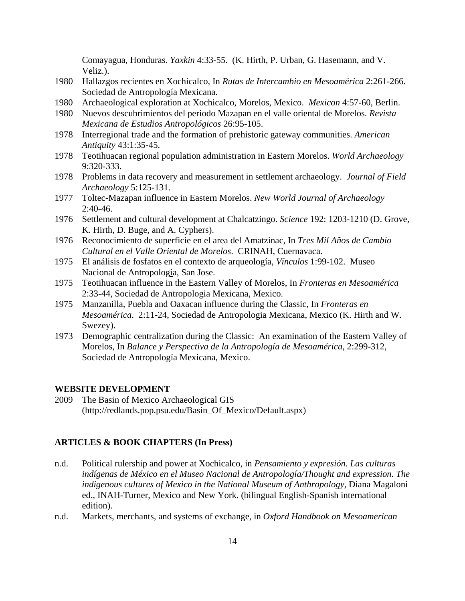Comayagua, Honduras. *Yaxkin* 4:33-55. (K. Hirth, P. Urban, G. Hasemann, and V. Veliz.).

- 1980 Hallazgos recientes en Xochicalco, In *Rutas de Intercambio en Mesoamérica* 2:261-266. Sociedad de Antropología Mexicana.
- 1980 Archaeological exploration at Xochicalco, Morelos, Mexico. *Mexicon* 4:57-60, Berlin.
- 1980 Nuevos descubrimientos del periodo Mazapan en el valle oriental de Morelos. *Revista Mexicana de Estudios Antropológicos* 26:95-105.
- 1978 Interregional trade and the formation of prehistoric gateway communities. *American Antiquity* 43:1:35-45.
- 1978 Teotihuacan regional population administration in Eastern Morelos. *World Archaeology*  9:320-333.
- 1978 Problems in data recovery and measurement in settlement archaeology. *Journal of Field Archaeology* 5:125-131.
- 1977 Toltec-Mazapan influence in Eastern Morelos. *New World Journal of Archaeology*  $2:40-46.$
- 1976 Settlement and cultural development at Chalcatzingo. *Science* 192: 1203-1210 (D. Grove, K. Hirth, D. Buge, and A. Cyphers).
- 1976 Reconocimiento de superficie en el area del Amatzinac, In *Tres Mil Años de Cambio Cultural en el Valle Oriental de Morelos*. CRINAH, Cuernavaca.
- 1975 El análisis de fosfatos en el contexto de arqueología, *Vínculos* 1:99-102. Museo Nacional de Antropología, San Jose.
- 1975 Teotihuacan influence in the Eastern Valley of Morelos, In *Fronteras en Mesoamérica* 2:33-44, Sociedad de Antropologia Mexicana, Mexico.
- 1975 Manzanilla, Puebla and Oaxacan influence during the Classic, In *Fronteras en Mesoamérica*. 2:11-24, Sociedad de Antropologia Mexicana, Mexico (K. Hirth and W. Swezey).
- 1973 Demographic centralization during the Classic: An examination of the Eastern Valley of Morelos, In *Balance y Perspectiva de la Antropología de Mesoamérica*, 2:299-312, Sociedad de Antropología Mexicana, Mexico.

#### **WEBSITE DEVELOPMENT**

2009 The Basin of Mexico Archaeological GIS (http://redlands.pop.psu.edu/Basin\_Of\_Mexico/Default.aspx)

### **ARTICLES & BOOK CHAPTERS (In Press)**

- n.d. Political rulership and power at Xochicalco, in *Pensamiento y expresión. Las culturas indígenas de México en el Museo Nacional de Antropología/Thought and expression. The indigenous cultures of Mexico in the National Museum of Anthropology,* Diana Magaloni ed., INAH-Turner, Mexico and New York. (bilingual English-Spanish international edition).
- n.d. Markets, merchants, and systems of exchange, in *Oxford Handbook on Mesoamerican*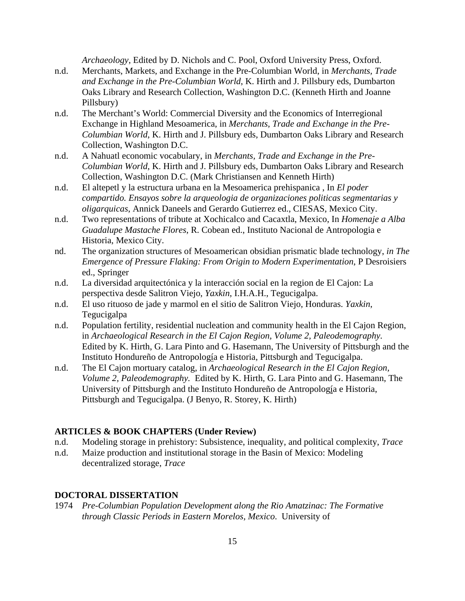*Archaeology*, Edited by D. Nichols and C. Pool, Oxford University Press, Oxford.

- n.d. Merchants, Markets, and Exchange in the Pre-Columbian World, in *Merchants, Trade and Exchange in the Pre-Columbian World*, K. Hirth and J. Pillsbury eds, Dumbarton Oaks Library and Research Collection, Washington D.C. (Kenneth Hirth and Joanne Pillsbury)
- n.d. The Merchant's World: Commercial Diversity and the Economics of Interregional Exchange in Highland Mesoamerica, in *Merchants, Trade and Exchange in the Pre-Columbian World*, K. Hirth and J. Pillsbury eds, Dumbarton Oaks Library and Research Collection, Washington D.C.
- n.d. A Nahuatl economic vocabulary, in *Merchants, Trade and Exchange in the Pre-Columbian World*, K. Hirth and J. Pillsbury eds, Dumbarton Oaks Library and Research Collection, Washington D.C. (Mark Christiansen and Kenneth Hirth)
- n.d. El altepetl y la estructura urbana en la Mesoamerica prehispanica , In *El poder compartido. Ensayos sobre la arqueologia de organizaciones politicas segmentarias y oligarquicas*, Annick Daneels and Gerardo Gutierrez ed., CIESAS, Mexico City.
- n.d. Two representations of tribute at Xochicalco and Cacaxtla, Mexico, In *Homenaje a Alba Guadalupe Mastache Flores*, R. Cobean ed., Instituto Nacional de Antropologia e Historia, Mexico City.
- nd. The organization structures of Mesoamerican obsidian prismatic blade technology, *in The Emergence of Pressure Flaking: From Origin to Modern Experimentation*, P Desroisiers ed., Springer
- n.d. La diversidad arquitectónica y la interacción social en la region de El Cajon: La perspectiva desde Salitron Viejo, *Yaxkin*, I.H.A.H., Tegucigalpa.
- n.d. El uso rituoso de jade y marmol en el sitio de Salitron Viejo, Honduras. *Yaxkin*, Tegucigalpa
- n.d. Population fertility, residential nucleation and community health in the El Cajon Region, in *Archaeological Research in the El Cajon Region, Volume 2, Paleodemography.* Edited by K. Hirth, G. Lara Pinto and G. Hasemann, The University of Pittsburgh and the Instituto Hondureño de Antropología e Historia, Pittsburgh and Tegucigalpa.
- n.d. The El Cajon mortuary catalog, in *Archaeological Research in the El Cajon Region, Volume 2, Paleodemography.* Edited by K. Hirth, G. Lara Pinto and G. Hasemann, The University of Pittsburgh and the Instituto Hondureño de Antropología e Historia, Pittsburgh and Tegucigalpa. (J Benyo, R. Storey, K. Hirth)

#### **ARTICLES & BOOK CHAPTERS (Under Review)**

- n.d. Modeling storage in prehistory: Subsistence, inequality, and political complexity, *Trace*
- n.d. Maize production and institutional storage in the Basin of Mexico: Modeling decentralized storage, *Trace*

#### **DOCTORAL DISSERTATION**

1974 *Pre-Columbian Population Development along the Rio Amatzinac: The Formative through Classic Periods in Eastern Morelos, Mexico*. University of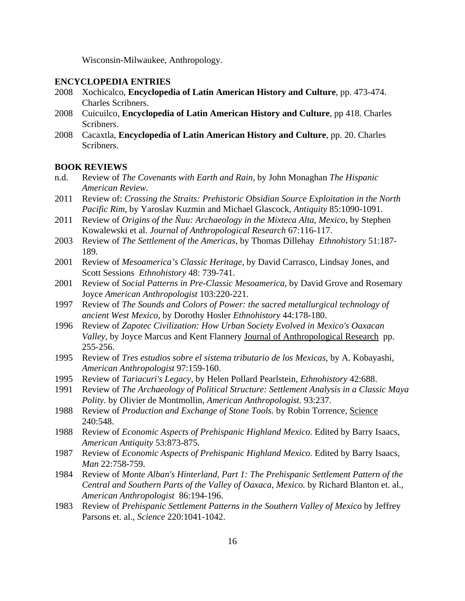Wisconsin-Milwaukee, Anthropology.

#### **ENCYCLOPEDIA ENTRIES**

- 2008 Xochicalco, **Encyclopedia of Latin American History and Culture**, pp. 473-474. Charles Scribners.
- 2008 Cuicuilco, **Encyclopedia of Latin American History and Culture**, pp 418. Charles Scribners.
- 2008 Cacaxtla, **Encyclopedia of Latin American History and Culture**, pp. 20. Charles Scribners.

### **BOOK REVIEWS**

- n.d. Review of *The Covenants with Earth and Rain*, by John Monaghan *The Hispanic American Review.*
- 2011 Review of: *Crossing the Straits: Prehistoric Obsidian Source Exploitation in the North Pacific Rim*, by Yaroslav Kuzmin and Michael Glascock, *Antiquity* 85:1090-1091.
- 2011 Review of *Origins of the Ñuu: Archaeology in the Mixteca Alta, Mexico*, by Stephen Kowalewski et al. *Journal of Anthropological Research* 67:116-117.
- 2003 Review of *The Settlement of the Americas*, by Thomas Dillehay *Ethnohistory* 51:187- 189.
- 2001 Review of *Mesoamerica's Classic Heritage*, by David Carrasco, Lindsay Jones, and Scott Sessions *Ethnohistory* 48: 739-741.
- 2001 Review of *Social Patterns in Pre-Classic Mesoamerica*, by David Grove and Rosemary Joyce *American Anthropologist* 103:220-221.
- 1997 Review of *The Sounds and Colors of Power: the sacred metallurgical technology of ancient West Mexico*, by Dorothy Hosler *Ethnohistory* 44:178-180.
- 1996 Review of *Zapotec Civilization: How Urban Society Evolved in Mexico's Oaxacan Valley*, by Joyce Marcus and Kent Flannery Journal of Anthropological Research pp. 255-256.
- 1995 Review of *Tres estudios sobre el sistema tributario de los Mexicas*, by A. Kobayashi, *American Anthropologist* 97:159-160.
- 1995 Review of *Tariacuri's Legacy*, by Helen Pollard Pearlstein, *Ethnohistory* 42:688.
- 1991 Review of *The Archaeology of Political Structure: Settlement Analysis in a Classic Maya Polity.* by Olivier de Montmollin, *American Anthropologist.* 93:237.
- 1988 Review of *Production and Exchange of Stone Tools.* by Robin Torrence, Science 240:548.
- 1988 Review of *Economic Aspects of Prehispanic Highland Mexico.* Edited by Barry Isaacs, *American Antiquity* 53:873-875.
- 1987 Review of *Economic Aspects of Prehispanic Highland Mexico.* Edited by Barry Isaacs, *Man* 22:758-759.
- 1984 Review of *Monte Alban's Hinterland, Part 1: The Prehispanic Settlement Pattern of the Central and Southern Parts of the Valley of Oaxaca, Mexico.* by Richard Blanton et. al., *American Anthropologist* 86:194-196.
- 1983 Review of *Prehispanic Settlement Patterns in the Southern Valley of Mexico* by Jeffrey Parsons et. al., *Science* 220:1041-1042.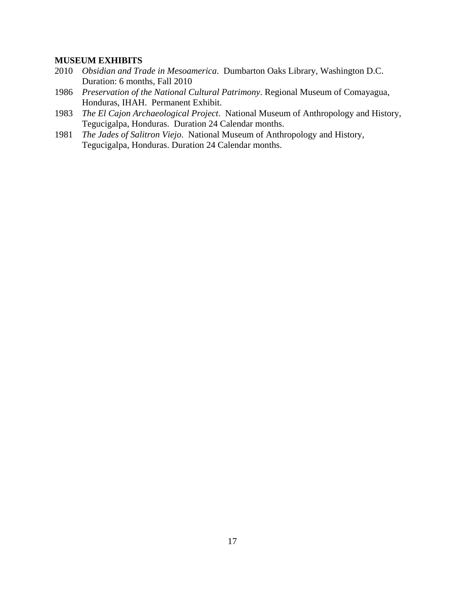## **MUSEUM EXHIBITS**

- 2010 *Obsidian and Trade in Mesoamerica*. Dumbarton Oaks Library, Washington D.C. Duration: 6 months, Fall 2010
- 1986 *Preservation of the National Cultural Patrimony*. Regional Museum of Comayagua, Honduras, IHAH. Permanent Exhibit.
- 1983 *The El Cajon Archaeological Project*. National Museum of Anthropology and History, Tegucigalpa, Honduras. Duration 24 Calendar months.
- 1981 *The Jades of Salitron Viejo*. National Museum of Anthropology and History, Tegucigalpa, Honduras. Duration 24 Calendar months.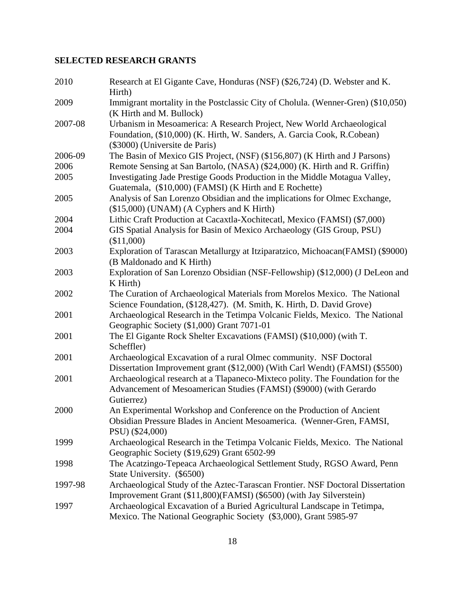# **SELECTED RESEARCH GRANTS**

| 2010    | Research at El Gigante Cave, Honduras (NSF) (\$26,724) (D. Webster and K.<br>Hirth)                                                                                                |
|---------|------------------------------------------------------------------------------------------------------------------------------------------------------------------------------------|
| 2009    | Immigrant mortality in the Postclassic City of Cholula. (Wenner-Gren) (\$10,050)<br>(K Hirth and M. Bullock)                                                                       |
| 2007-08 | Urbanism in Mesoamerica: A Research Project, New World Archaeological<br>Foundation, (\$10,000) (K. Hirth, W. Sanders, A. Garcia Cook, R.Cobean)<br>(\$3000) (Universite de Paris) |
| 2006-09 | The Basin of Mexico GIS Project, (NSF) (\$156,807) (K Hirth and J Parsons)                                                                                                         |
| 2006    | Remote Sensing at San Bartolo, (NASA) (\$24,000) (K. Hirth and R. Griffin)                                                                                                         |
| 2005    | Investigating Jade Prestige Goods Production in the Middle Motagua Valley,<br>Guatemala, (\$10,000) (FAMSI) (K Hirth and E Rochette)                                               |
| 2005    | Analysis of San Lorenzo Obsidian and the implications for Olmec Exchange,<br>(\$15,000) (UNAM) (A Cyphers and K Hirth)                                                             |
| 2004    | Lithic Craft Production at Cacaxtla-Xochitecatl, Mexico (FAMSI) (\$7,000)                                                                                                          |
| 2004    | GIS Spatial Analysis for Basin of Mexico Archaeology (GIS Group, PSU)<br>(\$11,000)                                                                                                |
| 2003    | Exploration of Tarascan Metallurgy at Itziparatzico, Michoacan(FAMSI) (\$9000)<br>(B Maldonado and K Hirth)                                                                        |
| 2003    | Exploration of San Lorenzo Obsidian (NSF-Fellowship) (\$12,000) (J DeLeon and<br>K Hirth)                                                                                          |
| 2002    | The Curation of Archaeological Materials from Morelos Mexico. The National<br>Science Foundation, (\$128,427). (M. Smith, K. Hirth, D. David Grove)                                |
| 2001    | Archaeological Research in the Tetimpa Volcanic Fields, Mexico. The National<br>Geographic Society (\$1,000) Grant 7071-01                                                         |
| 2001    | The El Gigante Rock Shelter Excavations (FAMSI) (\$10,000) (with T.<br>Scheffler)                                                                                                  |
| 2001    | Archaeological Excavation of a rural Olmec community. NSF Doctoral<br>Dissertation Improvement grant (\$12,000) (With Carl Wendt) (FAMSI) (\$5500)                                 |
| 2001    | Archaeological research at a Tlapaneco-Mixteco polity. The Foundation for the<br>Advancement of Mesoamerican Studies (FAMSI) (\$9000) (with Gerardo<br>Gutierrez)                  |
| 2000    | An Experimental Workshop and Conference on the Production of Ancient<br>Obsidian Pressure Blades in Ancient Mesoamerica. (Wenner-Gren, FAMSI,<br>PSU) (\$24,000)                   |
| 1999    | Archaeological Research in the Tetimpa Volcanic Fields, Mexico. The National<br>Geographic Society (\$19,629) Grant 6502-99                                                        |
| 1998    | The Acatzingo-Tepeaca Archaeological Settlement Study, RGSO Award, Penn<br>State University. (\$6500)                                                                              |
| 1997-98 | Archaeological Study of the Aztec-Tarascan Frontier. NSF Doctoral Dissertation<br>Improvement Grant (\$11,800)(FAMSI) (\$6500) (with Jay Silverstein)                              |
| 1997    | Archaeological Excavation of a Buried Agricultural Landscape in Tetimpa,<br>Mexico. The National Geographic Society (\$3,000), Grant 5985-97                                       |